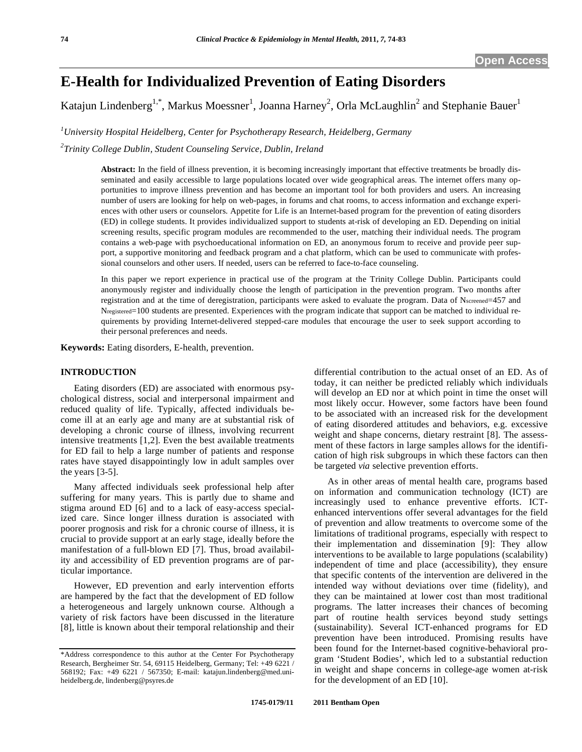# **E-Health for Individualized Prevention of Eating Disorders**

Katajun Lindenberg<sup>1,\*</sup>, Markus Moessner<sup>1</sup>, Joanna Harney<sup>2</sup>, Orla McLaughlin<sup>2</sup> and Stephanie Bauer<sup>1</sup>

*1 University Hospital Heidelberg, Center for Psychotherapy Research, Heidelberg, Germany* 

*2 Trinity College Dublin, Student Counseling Service, Dublin, Ireland* 

**Abstract:** In the field of illness prevention, it is becoming increasingly important that effective treatments be broadly disseminated and easily accessible to large populations located over wide geographical areas. The internet offers many opportunities to improve illness prevention and has become an important tool for both providers and users. An increasing number of users are looking for help on web-pages, in forums and chat rooms, to access information and exchange experiences with other users or counselors. Appetite for Life is an Internet-based program for the prevention of eating disorders (ED) in college students. It provides individualized support to students at-risk of developing an ED. Depending on initial screening results, specific program modules are recommended to the user, matching their individual needs. The program contains a web-page with psychoeducational information on ED, an anonymous forum to receive and provide peer support, a supportive monitoring and feedback program and a chat platform, which can be used to communicate with professional counselors and other users. If needed, users can be referred to face-to-face counseling.

In this paper we report experience in practical use of the program at the Trinity College Dublin. Participants could anonymously register and individually choose the length of participation in the prevention program. Two months after registration and at the time of deregistration, participants were asked to evaluate the program. Data of Nscreened=457 and Nregistered=100 students are presented. Experiences with the program indicate that support can be matched to individual requirements by providing Internet-delivered stepped-care modules that encourage the user to seek support according to their personal preferences and needs.

**Keywords:** Eating disorders, E-health, prevention.

# **INTRODUCTION**

Eating disorders (ED) are associated with enormous psychological distress, social and interpersonal impairment and reduced quality of life. Typically, affected individuals become ill at an early age and many are at substantial risk of developing a chronic course of illness, involving recurrent intensive treatments [1,2]. Even the best available treatments for ED fail to help a large number of patients and response rates have stayed disappointingly low in adult samples over the years [3-5].

Many affected individuals seek professional help after suffering for many years. This is partly due to shame and stigma around ED [6] and to a lack of easy-access specialized care. Since longer illness duration is associated with poorer prognosis and risk for a chronic course of illness, it is crucial to provide support at an early stage, ideally before the manifestation of a full-blown ED [7]. Thus, broad availability and accessibility of ED prevention programs are of particular importance.

However, ED prevention and early intervention efforts are hampered by the fact that the development of ED follow a heterogeneous and largely unknown course. Although a variety of risk factors have been discussed in the literature [8], little is known about their temporal relationship and their

will develop an ED nor at which point in time the onset will most likely occur. However, some factors have been found to be associated with an increased risk for the development of eating disordered attitudes and behaviors, e.g. excessive weight and shape concerns, dietary restraint [8]. The assessment of these factors in large samples allows for the identification of high risk subgroups in which these factors can then be targeted *via* selective prevention efforts. As in other areas of mental health care, programs based

differential contribution to the actual onset of an ED. As of today, it can neither be predicted reliably which individuals

on information and communication technology (ICT) are increasingly used to enhance preventive efforts. ICTenhanced interventions offer several advantages for the field of prevention and allow treatments to overcome some of the limitations of traditional programs, especially with respect to their implementation and dissemination [9]: They allow interventions to be available to large populations (scalability) independent of time and place (accessibility), they ensure that specific contents of the intervention are delivered in the intended way without deviations over time (fidelity), and they can be maintained at lower cost than most traditional programs. The latter increases their chances of becoming part of routine health services beyond study settings (sustainability). Several ICT-enhanced programs for ED prevention have been introduced. Promising results have been found for the Internet-based cognitive-behavioral program 'Student Bodies', which led to a substantial reduction in weight and shape concerns in college-age women at-risk for the development of an ED [10].

<sup>\*</sup>Address correspondence to this author at the Center For Psychotherapy Research, Bergheimer Str. 54, 69115 Heidelberg, Germany; Tel: +49 6221 / 568192; Fax: +49 6221 / 567350; E-mail: katajun.lindenberg@med.uniheidelberg.de, lindenberg@psyres.de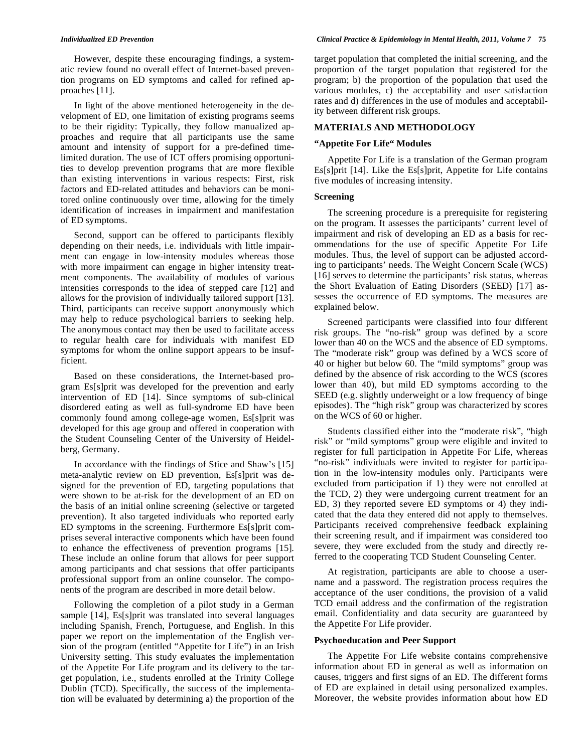However, despite these encouraging findings, a systematic review found no overall effect of Internet-based prevention programs on ED symptoms and called for refined approaches [11].

In light of the above mentioned heterogeneity in the development of ED, one limitation of existing programs seems to be their rigidity: Typically, they follow manualized approaches and require that all participants use the same amount and intensity of support for a pre-defined timelimited duration. The use of ICT offers promising opportunities to develop prevention programs that are more flexible than existing interventions in various respects: First, risk factors and ED-related attitudes and behaviors can be monitored online continuously over time, allowing for the timely identification of increases in impairment and manifestation of ED symptoms.

Second, support can be offered to participants flexibly depending on their needs, i.e. individuals with little impairment can engage in low-intensity modules whereas those with more impairment can engage in higher intensity treatment components. The availability of modules of various intensities corresponds to the idea of stepped care [12] and allows for the provision of individually tailored support [13]. Third, participants can receive support anonymously which may help to reduce psychological barriers to seeking help. The anonymous contact may then be used to facilitate access to regular health care for individuals with manifest ED symptoms for whom the online support appears to be insufficient.

Based on these considerations, the Internet-based program Es[s]prit was developed for the prevention and early intervention of ED [14]. Since symptoms of sub-clinical disordered eating as well as full-syndrome ED have been commonly found among college-age women, Es[s]prit was developed for this age group and offered in cooperation with the Student Counseling Center of the University of Heidelberg, Germany.

In accordance with the findings of Stice and Shaw's [15] meta-analytic review on ED prevention, Es[s]prit was designed for the prevention of ED, targeting populations that were shown to be at-risk for the development of an ED on the basis of an initial online screening (selective or targeted prevention). It also targeted individuals who reported early ED symptoms in the screening. Furthermore Es[s]prit comprises several interactive components which have been found to enhance the effectiveness of prevention programs [15]. These include an online forum that allows for peer support among participants and chat sessions that offer participants professional support from an online counselor. The components of the program are described in more detail below.

Following the completion of a pilot study in a German sample [14], Es[s]prit was translated into several languages including Spanish, French, Portuguese, and English. In this paper we report on the implementation of the English version of the program (entitled "Appetite for Life") in an Irish University setting. This study evaluates the implementation of the Appetite For Life program and its delivery to the target population, i.e., students enrolled at the Trinity College Dublin (TCD). Specifically, the success of the implementation will be evaluated by determining a) the proportion of the

target population that completed the initial screening, and the proportion of the target population that registered for the program; b) the proportion of the population that used the various modules, c) the acceptability and user satisfaction rates and d) differences in the use of modules and acceptability between different risk groups.

#### **MATERIALS AND METHODOLOGY**

### **"Appetite For Life" Modules**

Appetite For Life is a translation of the German program Es[s]prit [14]. Like the Es[s]prit, Appetite for Life contains five modules of increasing intensity.

# **Screening**

The screening procedure is a prerequisite for registering on the program. It assesses the participants' current level of impairment and risk of developing an ED as a basis for recommendations for the use of specific Appetite For Life modules. Thus, the level of support can be adjusted according to participants' needs. The Weight Concern Scale (WCS) [16] serves to determine the participants' risk status, whereas the Short Evaluation of Eating Disorders (SEED) [17] assesses the occurrence of ED symptoms. The measures are explained below.

Screened participants were classified into four different risk groups. The "no-risk" group was defined by a score lower than 40 on the WCS and the absence of ED symptoms. The "moderate risk" group was defined by a WCS score of 40 or higher but below 60. The "mild symptoms" group was defined by the absence of risk according to the WCS (scores lower than 40), but mild ED symptoms according to the SEED (e.g. slightly underweight or a low frequency of binge episodes). The "high risk" group was characterized by scores on the WCS of 60 or higher.

Students classified either into the "moderate risk", "high risk" or "mild symptoms" group were eligible and invited to register for full participation in Appetite For Life, whereas "no-risk" individuals were invited to register for participation in the low-intensity modules only. Participants were excluded from participation if 1) they were not enrolled at the TCD, 2) they were undergoing current treatment for an ED, 3) they reported severe ED symptoms or 4) they indicated that the data they entered did not apply to themselves. Participants received comprehensive feedback explaining their screening result, and if impairment was considered too severe, they were excluded from the study and directly referred to the cooperating TCD Student Counseling Center.

At registration, participants are able to choose a username and a password. The registration process requires the acceptance of the user conditions, the provision of a valid TCD email address and the confirmation of the registration email. Confidentiality and data security are guaranteed by the Appetite For Life provider.

### **Psychoeducation and Peer Support**

The Appetite For Life website contains comprehensive information about ED in general as well as information on causes, triggers and first signs of an ED. The different forms of ED are explained in detail using personalized examples. Moreover, the website provides information about how ED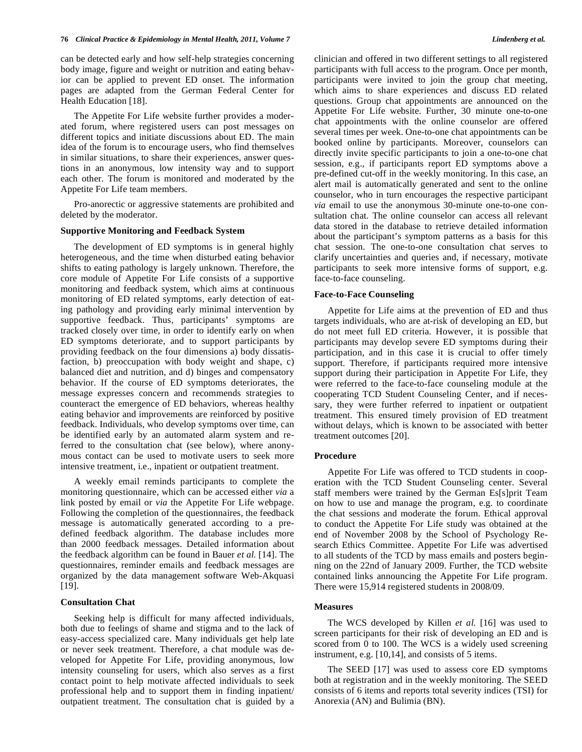can be detected early and how self-help strategies concerning body image, figure and weight or nutrition and eating behavior can be applied to prevent ED onset. The information pages are adapted from the German Federal Center for Health Education [18].

The Appetite For Life website further provides a moderated forum, where registered users can post messages on different topics and initiate discussions about ED. The main idea of the forum is to encourage users, who find themselves in similar situations, to share their experiences, answer questions in an anonymous, low intensity way and to support each other. The forum is monitored and moderated by the Appetite For Life team members.

Pro-anorectic or aggressive statements are prohibited and deleted by the moderator.

#### **Supportive Monitoring and Feedback System**

The development of ED symptoms is in general highly heterogeneous, and the time when disturbed eating behavior shifts to eating pathology is largely unknown. Therefore, the core module of Appetite For Life consists of a supportive monitoring and feedback system, which aims at continuous monitoring of ED related symptoms, early detection of eating pathology and providing early minimal intervention by supportive feedback. Thus, participants' symptoms are tracked closely over time, in order to identify early on when ED symptoms deteriorate, and to support participants by providing feedback on the four dimensions a) body dissatisfaction, b) preoccupation with body weight and shape, c) balanced diet and nutrition, and d) binges and compensatory behavior. If the course of ED symptoms deteriorates, the message expresses concern and recommends strategies to counteract the emergence of ED behaviors, whereas healthy eating behavior and improvements are reinforced by positive feedback. Individuals, who develop symptoms over time, can be identified early by an automated alarm system and referred to the consultation chat (see below), where anonymous contact can be used to motivate users to seek more intensive treatment, i.e., inpatient or outpatient treatment.

A weekly email reminds participants to complete the monitoring questionnaire, which can be accessed either *via* a link posted by email or *via* the Appetite For Life webpage. Following the completion of the questionnaires, the feedback message is automatically generated according to a predefined feedback algorithm. The database includes more than 2000 feedback messages. Detailed information about the feedback algorithm can be found in Bauer *et al.* [14]. The questionnaires, reminder emails and feedback messages are organized by the data management software Web-Akquasi [19].

# **Consultation Chat**

Seeking help is difficult for many affected individuals, both due to feelings of shame and stigma and to the lack of easy-access specialized care. Many individuals get help late or never seek treatment. Therefore, a chat module was developed for Appetite For Life, providing anonymous, low intensity counseling for users, which also serves as a first contact point to help motivate affected individuals to seek professional help and to support them in finding inpatient/ outpatient treatment. The consultation chat is guided by a

clinician and offered in two different settings to all registered participants with full access to the program. Once per month, participants were invited to join the group chat meeting, which aims to share experiences and discuss ED related questions. Group chat appointments are announced on the Appetite For Life website. Further, 30 minute one-to-one chat appointments with the online counselor are offered several times per week. One-to-one chat appointments can be booked online by participants. Moreover, counselors can directly invite specific participants to join a one-to-one chat session, e.g., if participants report ED symptoms above a

pre-defined cut-off in the weekly monitoring. In this case, an alert mail is automatically generated and sent to the online counselor, who in turn encourages the respective participant *via* email to use the anonymous 30-minute one-to-one consultation chat. The online counselor can access all relevant data stored in the database to retrieve detailed information about the participant's symptom patterns as a basis for this chat session. The one-to-one consultation chat serves to clarify uncertainties and queries and, if necessary, motivate participants to seek more intensive forms of support, e.g. face-to-face counseling.

#### **Face-to-Face Counseling**

Appetite for Life aims at the prevention of ED and thus targets individuals, who are at-risk of developing an ED, but do not meet full ED criteria. However, it is possible that participants may develop severe ED symptoms during their participation, and in this case it is crucial to offer timely support. Therefore, if participants required more intensive support during their participation in Appetite For Life, they were referred to the face-to-face counseling module at the cooperating TCD Student Counseling Center, and if necessary, they were further referred to inpatient or outpatient treatment. This ensured timely provision of ED treatment without delays, which is known to be associated with better treatment outcomes [20].

#### **Procedure**

Appetite For Life was offered to TCD students in cooperation with the TCD Student Counseling center. Several staff members were trained by the German Es[s]prit Team on how to use and manage the program, e.g. to coordinate the chat sessions and moderate the forum. Ethical approval to conduct the Appetite For Life study was obtained at the end of November 2008 by the School of Psychology Research Ethics Committee. Appetite For Life was advertised to all students of the TCD by mass emails and posters beginning on the 22nd of January 2009. Further, the TCD website contained links announcing the Appetite For Life program. There were 15,914 registered students in 2008/09.

#### **Measures**

The WCS developed by Killen *et al.* [16] was used to screen participants for their risk of developing an ED and is scored from 0 to 100. The WCS is a widely used screening instrument, e.g. [10,14], and consists of 5 items.

The SEED [17] was used to assess core ED symptoms both at registration and in the weekly monitoring. The SEED consists of 6 items and reports total severity indices (TSI) for Anorexia (AN) and Bulimia (BN).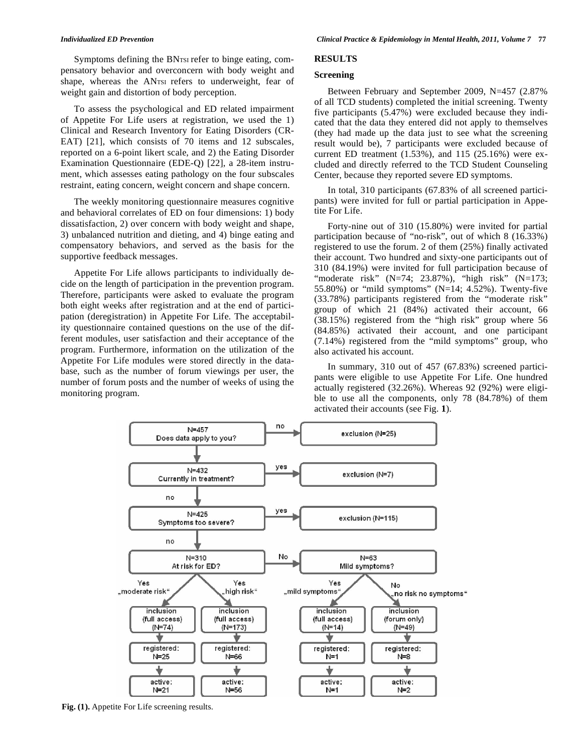Symptoms defining the BNTSI refer to binge eating, compensatory behavior and overconcern with body weight and shape, whereas the ANTSI refers to underweight, fear of weight gain and distortion of body perception.

To assess the psychological and ED related impairment of Appetite For Life users at registration, we used the 1) Clinical and Research Inventory for Eating Disorders (CR-EAT) [21], which consists of 70 items and 12 subscales, reported on a 6-point likert scale, and 2) the Eating Disorder Examination Questionnaire (EDE-Q) [22], a 28-item instrument, which assesses eating pathology on the four subscales restraint, eating concern, weight concern and shape concern.

The weekly monitoring questionnaire measures cognitive and behavioral correlates of ED on four dimensions: 1) body dissatisfaction, 2) over concern with body weight and shape, 3) unbalanced nutrition and dieting, and 4) binge eating and compensatory behaviors, and served as the basis for the supportive feedback messages.

Appetite For Life allows participants to individually decide on the length of participation in the prevention program. Therefore, participants were asked to evaluate the program both eight weeks after registration and at the end of participation (deregistration) in Appetite For Life. The acceptability questionnaire contained questions on the use of the different modules, user satisfaction and their acceptance of the program. Furthermore, information on the utilization of the Appetite For Life modules were stored directly in the database, such as the number of forum viewings per user, the number of forum posts and the number of weeks of using the monitoring program.

# **RESULTS**

# **Screening**

Between February and September 2009, N=457 (2.87% of all TCD students) completed the initial screening. Twenty five participants (5.47%) were excluded because they indicated that the data they entered did not apply to themselves (they had made up the data just to see what the screening result would be), 7 participants were excluded because of current ED treatment  $(1.53\%)$ , and  $115$   $(25.16\%)$  were excluded and directly referred to the TCD Student Counseling Center, because they reported severe ED symptoms.

In total, 310 participants (67.83% of all screened participants) were invited for full or partial participation in Appetite For Life.

Forty-nine out of 310 (15.80%) were invited for partial participation because of "no-risk", out of which 8 (16.33%) registered to use the forum. 2 of them (25%) finally activated their account. Two hundred and sixty-one participants out of 310 (84.19%) were invited for full participation because of "moderate risk"  $(N=74; 23.87%)$ , "high risk"  $(N=173;$ 55.80%) or "mild symptoms" (N=14; 4.52%). Twenty-five (33.78%) participants registered from the "moderate risk" group of which 21 (84%) activated their account, 66 (38.15%) registered from the "high risk" group where 56 (84.85%) activated their account, and one participant (7.14%) registered from the "mild symptoms" group, who also activated his account.

In summary, 310 out of 457 (67.83%) screened participants were eligible to use Appetite For Life. One hundred actually registered (32.26%). Whereas 92 (92%) were eligible to use all the components, only 78 (84.78%) of them activated their accounts (see Fig. **1**).



Fig. (1). Appetite For Life screening results.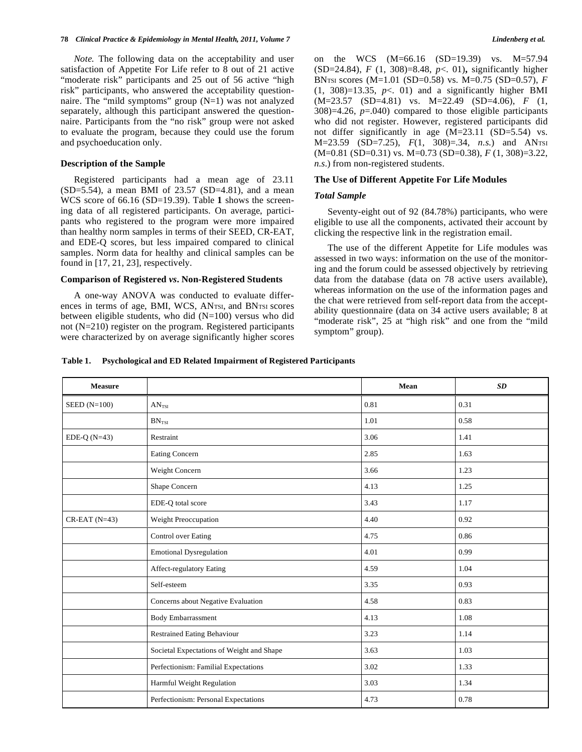*Note.* The following data on the acceptability and user satisfaction of Appetite For Life refer to 8 out of 21 active "moderate risk" participants and 25 out of 56 active "high risk" participants, who answered the acceptability questionnaire. The "mild symptoms" group (N=1) was not analyzed separately, although this participant answered the questionnaire. Participants from the "no risk" group were not asked to evaluate the program, because they could use the forum and psychoeducation only.

#### **Description of the Sample**

Registered participants had a mean age of 23.11  $(SD=5.54)$ , a mean BMI of 23.57  $(SD=4.81)$ , and a mean WCS score of 66.16 (SD=19.39). Table **1** shows the screening data of all registered participants. On average, participants who registered to the program were more impaired than healthy norm samples in terms of their SEED, CR-EAT, and EDE-Q scores, but less impaired compared to clinical samples. Norm data for healthy and clinical samples can be found in [17, 21, 23], respectively.

#### **Comparison of Registered** *vs***. Non-Registered Students**

A one-way ANOVA was conducted to evaluate differences in terms of age, BMI, WCS, ANTSI, and BNTSI scores between eligible students, who did (N=100) versus who did not (N=210) register on the program. Registered participants were characterized by on average significantly higher scores on the WCS (M=66.16 (SD=19.39) vs. M=57.94 (SD=24.84), *F* (1, 308)=8.48, *p*<. 01)**,** significantly higher BNTSI scores (M=1.01 (SD=0.58) vs. M=0.75 (SD=0.57), *F*   $(1, 308)=13.35$ ,  $p<.01$ ) and a significantly higher BMI (M=23.57 (SD=4.81) vs. M=22.49 (SD=4.06), *F* (1, 308)=4.26, *p*=.040) compared to those eligible participants who did not register. However, registered participants did not differ significantly in age (M=23.11 (SD=5.54) vs. M=23.59 (SD=7.25), *F*(1, 308)=.34, *n.s.*) and ANTSI (M=0.81 (SD=0.31) vs. M=0.73 (SD=0.38), *F* (1, 308)=3.22, *n.s*.) from non-registered students.

#### **The Use of Different Appetite For Life Modules**

#### *Total Sample*

Seventy-eight out of 92 (84.78%) participants, who were eligible to use all the components, activated their account by clicking the respective link in the registration email.

The use of the different Appetite for Life modules was assessed in two ways: information on the use of the monitoring and the forum could be assessed objectively by retrieving data from the database (data on 78 active users available), whereas information on the use of the information pages and the chat were retrieved from self-report data from the acceptability questionnaire (data on 34 active users available; 8 at "moderate risk", 25 at "high risk" and one from the "mild" symptom" group).

#### **Table 1. Psychological and ED Related Impairment of Registered Participants**

| <b>Measure</b>     |                                           | Mean | SD   |
|--------------------|-------------------------------------------|------|------|
| SEED $(N=100)$     | AN <sub>TSI</sub>                         | 0.81 | 0.31 |
|                    | $BN_{TSI}$                                | 1.01 | 0.58 |
| EDE-Q $(N=43)$     | Restraint                                 | 3.06 | 1.41 |
|                    | Eating Concern                            | 2.85 | 1.63 |
|                    | Weight Concern                            | 3.66 | 1.23 |
|                    | Shape Concern                             | 4.13 | 1.25 |
|                    | EDE-Q total score                         | 3.43 | 1.17 |
| $CR$ -EAT $(N=43)$ | Weight Preoccupation                      | 4.40 | 0.92 |
|                    | Control over Eating                       | 4.75 | 0.86 |
|                    | <b>Emotional Dysregulation</b>            | 4.01 | 0.99 |
|                    | Affect-regulatory Eating                  | 4.59 | 1.04 |
|                    | Self-esteem                               | 3.35 | 0.93 |
|                    | Concerns about Negative Evaluation        | 4.58 | 0.83 |
|                    | <b>Body Embarrassment</b>                 | 4.13 | 1.08 |
|                    | <b>Restrained Eating Behaviour</b>        | 3.23 | 1.14 |
|                    | Societal Expectations of Weight and Shape | 3.63 | 1.03 |
|                    | Perfectionism: Familial Expectations      | 3.02 | 1.33 |
|                    | Harmful Weight Regulation                 | 3.03 | 1.34 |
|                    | Perfectionism: Personal Expectations      | 4.73 | 0.78 |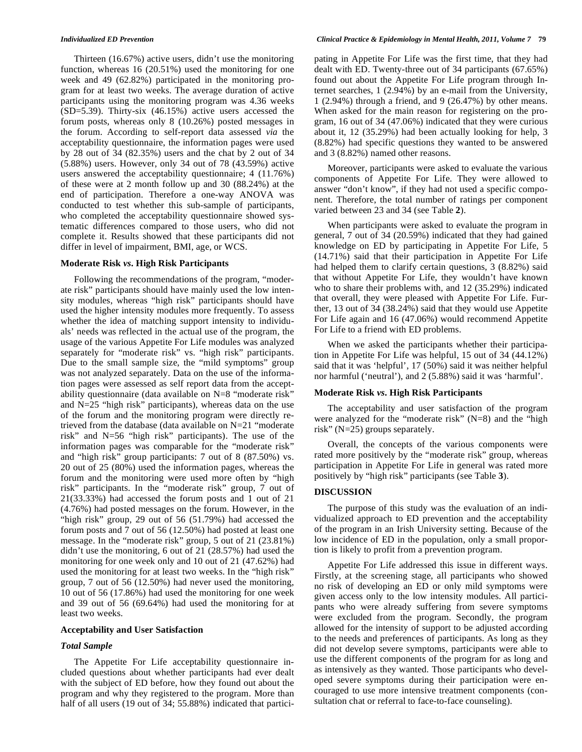Thirteen (16.67%) active users, didn't use the monitoring function, whereas 16 (20.51%) used the monitoring for one week and 49 (62.82%) participated in the monitoring program for at least two weeks. The average duration of active participants using the monitoring program was 4.36 weeks (SD=5.39). Thirty-six (46.15%) active users accessed the forum posts, whereas only 8 (10.26%) posted messages in the forum. According to self-report data assessed *via* the acceptability questionnaire, the information pages were used by 28 out of 34 (82.35%) users and the chat by 2 out of 34 (5.88%) users. However, only 34 out of 78 (43.59%) active users answered the acceptability questionnaire; 4 (11.76%) of these were at 2 month follow up and 30 (88.24%) at the end of participation. Therefore a one-way ANOVA was conducted to test whether this sub-sample of participants, who completed the acceptability questionnaire showed systematic differences compared to those users, who did not complete it. Results showed that these participants did not differ in level of impairment, BMI, age, or WCS.

# **Moderate Risk** *vs***. High Risk Participants**

Following the recommendations of the program, "moderate risk" participants should have mainly used the low intensity modules, whereas "high risk" participants should have used the higher intensity modules more frequently. To assess whether the idea of matching support intensity to individuals' needs was reflected in the actual use of the program, the usage of the various Appetite For Life modules was analyzed separately for "moderate risk" vs. "high risk" participants. Due to the small sample size, the "mild symptoms" group was not analyzed separately. Data on the use of the information pages were assessed as self report data from the acceptability questionnaire (data available on N=8 "moderate risk" and N=25 "high risk" participants), whereas data on the use of the forum and the monitoring program were directly retrieved from the database (data available on N=21 "moderate risk" and N=56 "high risk" participants). The use of the information pages was comparable for the "moderate risk" and "high risk" group participants: 7 out of 8 (87.50%) vs. 20 out of 25 (80%) used the information pages, whereas the forum and the monitoring were used more often by "high risk" participants. In the "moderate risk" group, 7 out of 21(33.33%) had accessed the forum posts and 1 out of 21 (4.76%) had posted messages on the forum. However, in the "high risk" group, 29 out of 56 (51.79%) had accessed the forum posts and 7 out of 56 (12.50%) had posted at least one message. In the "moderate risk" group, 5 out of 21 (23.81%) didn't use the monitoring, 6 out of 21 (28.57%) had used the monitoring for one week only and 10 out of 21 (47.62%) had used the monitoring for at least two weeks. In the "high risk" group, 7 out of 56 (12.50%) had never used the monitoring, 10 out of 56 (17.86%) had used the monitoring for one week and 39 out of 56 (69.64%) had used the monitoring for at least two weeks.

# **Acceptability and User Satisfaction**

#### *Total Sample*

The Appetite For Life acceptability questionnaire included questions about whether participants had ever dealt with the subject of ED before, how they found out about the program and why they registered to the program. More than half of all users (19 out of 34; 55.88%) indicated that participating in Appetite For Life was the first time, that they had dealt with ED. Twenty-three out of 34 participants (67.65%) found out about the Appetite For Life program through Internet searches, 1 (2.94%) by an e-mail from the University, 1 (2.94%) through a friend, and 9 (26.47%) by other means. When asked for the main reason for registering on the program, 16 out of 34 (47.06%) indicated that they were curious about it, 12 (35.29%) had been actually looking for help, 3 (8.82%) had specific questions they wanted to be answered and 3 (8.82%) named other reasons.

Moreover, participants were asked to evaluate the various components of Appetite For Life. They were allowed to answer "don't know", if they had not used a specific component. Therefore, the total number of ratings per component varied between 23 and 34 (see Table **2**).

When participants were asked to evaluate the program in general, 7 out of 34 (20.59%) indicated that they had gained knowledge on ED by participating in Appetite For Life, 5 (14.71%) said that their participation in Appetite For Life had helped them to clarify certain questions, 3 (8.82%) said that without Appetite For Life, they wouldn't have known who to share their problems with, and 12 (35.29%) indicated that overall, they were pleased with Appetite For Life. Further, 13 out of 34 (38.24%) said that they would use Appetite For Life again and 16 (47.06%) would recommend Appetite For Life to a friend with ED problems.

When we asked the participants whether their participation in Appetite For Life was helpful, 15 out of 34 (44.12%) said that it was 'helpful', 17 (50%) said it was neither helpful nor harmful ('neutral'), and 2 (5.88%) said it was 'harmful'.

# **Moderate Risk** *vs***. High Risk Participants**

The acceptability and user satisfaction of the program were analyzed for the "moderate risk" (N=8) and the "high risk" (N=25) groups separately.

Overall, the concepts of the various components were rated more positively by the "moderate risk" group, whereas participation in Appetite For Life in general was rated more positively by "high risk" participants (see Table **3**).

# **DISCUSSION**

The purpose of this study was the evaluation of an individualized approach to ED prevention and the acceptability of the program in an Irish University setting. Because of the low incidence of ED in the population, only a small proportion is likely to profit from a prevention program.

Appetite For Life addressed this issue in different ways. Firstly, at the screening stage, all participants who showed no risk of developing an ED or only mild symptoms were given access only to the low intensity modules. All participants who were already suffering from severe symptoms were excluded from the program. Secondly, the program allowed for the intensity of support to be adjusted according to the needs and preferences of participants. As long as they did not develop severe symptoms, participants were able to use the different components of the program for as long and as intensively as they wanted. Those participants who developed severe symptoms during their participation were encouraged to use more intensive treatment components (consultation chat or referral to face-to-face counseling).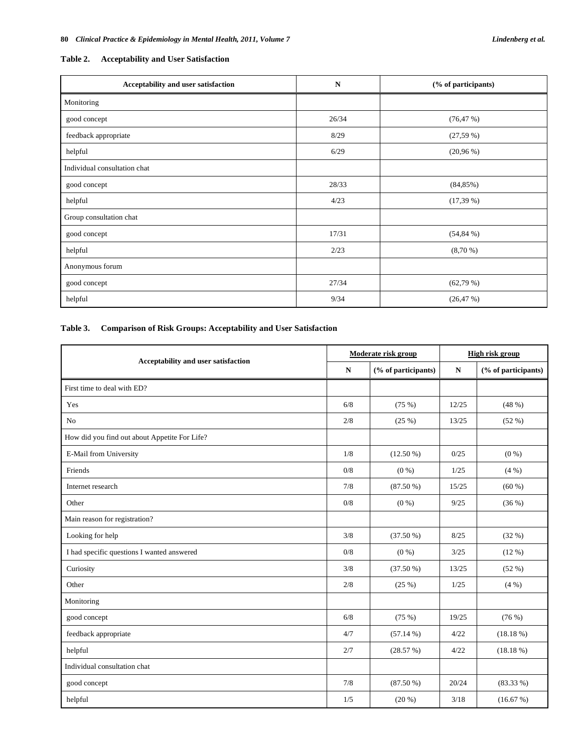# **Table 2. Acceptability and User Satisfaction**

| Acceptability and user satisfaction | N     | (% of participants) |  |
|-------------------------------------|-------|---------------------|--|
| Monitoring                          |       |                     |  |
| good concept                        | 26/34 | (76, 47%)           |  |
| feedback appropriate                | 8/29  | (27,59%)            |  |
| helpful                             | 6/29  | $(20,96\%)$         |  |
| Individual consultation chat        |       |                     |  |
| good concept                        | 28/33 | (84,85%)            |  |
| helpful                             | 4/23  | (17,39%)            |  |
| Group consultation chat             |       |                     |  |
| good concept                        | 17/31 | (54, 84%)           |  |
| helpful                             | 2/23  | (8,70%              |  |
| Anonymous forum                     |       |                     |  |
| good concept                        | 27/34 | (62,79%)            |  |
| helpful                             | 9/34  | (26, 47%)           |  |

# **Table 3. Comparison of Risk Groups: Acceptability and User Satisfaction**

| Acceptability and user satisfaction           |     | Moderate risk group |       | <b>High risk group</b> |  |
|-----------------------------------------------|-----|---------------------|-------|------------------------|--|
|                                               |     | (% of participants) | N     | (% of participants)    |  |
| First time to deal with ED?                   |     |                     |       |                        |  |
| Yes                                           | 6/8 | (75%)               | 12/25 | (48%)                  |  |
| No                                            | 2/8 | (25%)               | 13/25 | (52%)                  |  |
| How did you find out about Appetite For Life? |     |                     |       |                        |  |
| E-Mail from University                        | 1/8 | $(12.50\%)$         | 0/25  | $(0\%)$                |  |
| Friends                                       |     | $(0\%)$             | 1/25  | (4%)                   |  |
| Internet research                             |     | $(87.50\%)$         | 15/25 | (60 %)                 |  |
| Other                                         | 0/8 | $(0\%)$             | 9/25  | (36%)                  |  |
| Main reason for registration?                 |     |                     |       |                        |  |
| Looking for help                              | 3/8 | $(37.50\%)$         | 8/25  | (32%)                  |  |
| I had specific questions I wanted answered    |     | $(0\%)$             | 3/25  | (12%)                  |  |
| Curiosity                                     |     | $(37.50\%)$         | 13/25 | (52%)                  |  |
| Other                                         |     | (25%)               | 1/25  | $(4\% )$               |  |
| Monitoring                                    |     |                     |       |                        |  |
| good concept                                  |     | (75%)               | 19/25 | (76%)                  |  |
| feedback appropriate                          |     | $(57.14\%)$         | 4/22  | (18.18%)               |  |
| helpful                                       |     | (28.57%)            | 4/22  | (18.18%)               |  |
| Individual consultation chat                  |     |                     |       |                        |  |
| good concept                                  |     | $(87.50\%)$         | 20/24 | $(83.33\%)$            |  |
| helpful                                       |     | $(20\%)$            | 3/18  | (16.67%)               |  |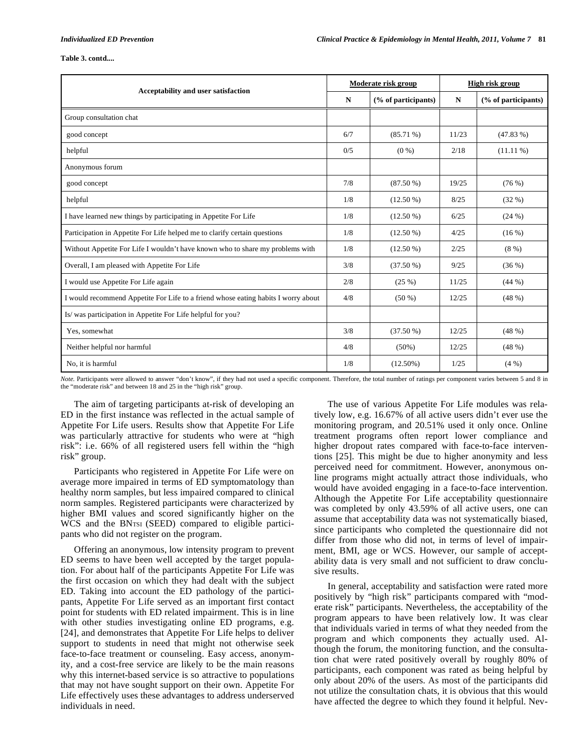#### **Table 3. contd....**

| Acceptability and user satisfaction                                               |     | Moderate risk group |       | High risk group     |  |
|-----------------------------------------------------------------------------------|-----|---------------------|-------|---------------------|--|
|                                                                                   |     | (% of participants) | N     | (% of participants) |  |
| Group consultation chat                                                           |     |                     |       |                     |  |
| good concept                                                                      | 6/7 | $(85.71\%)$         | 11/23 | (47.83%)            |  |
| helpful                                                                           | 0/5 | $(0\%)$             | 2/18  | $(11.11\%)$         |  |
| Anonymous forum                                                                   |     |                     |       |                     |  |
| good concept                                                                      |     | $(87.50\%)$         | 19/25 | (76%)               |  |
| helpful                                                                           |     | $(12.50\%)$         | 8/25  | (32%)               |  |
| I have learned new things by participating in Appetite For Life                   |     | $(12.50\%)$         | 6/25  | (24%)               |  |
| Participation in Appetite For Life helped me to clarify certain questions         |     | $(12.50\%)$         | 4/25  | (16%)               |  |
| Without Appetite For Life I wouldn't have known who to share my problems with     |     | $(12.50\%)$         | 2/25  | (8%)                |  |
| Overall, I am pleased with Appetite For Life                                      |     | $(37.50\%)$         | 9/25  | (36%)               |  |
| I would use Appetite For Life again                                               |     | (25%)               | 11/25 | (44%)               |  |
| I would recommend Appetite For Life to a friend whose eating habits I worry about |     | $(50\%)$            | 12/25 | (48%)               |  |
| Is/was participation in Appetite For Life helpful for you?                        |     |                     |       |                     |  |
| Yes, somewhat                                                                     |     | $(37.50\%)$         | 12/25 | (48%)               |  |
| Neither helpful nor harmful                                                       |     | $(50\%)$            | 12/25 | (48%)               |  |
| No. it is harmful                                                                 |     | $(12.50\%)$         | 1/25  | $(4\% )$            |  |

*Note.* Participants were allowed to answer "don't know", if they had not used a specific component. Therefore, the total number of ratings per component varies between 5 and 8 in the "moderate risk" and between 18 and 25 in the "high risk" group.

The aim of targeting participants at-risk of developing an ED in the first instance was reflected in the actual sample of Appetite For Life users. Results show that Appetite For Life was particularly attractive for students who were at "high risk": i.e. 66% of all registered users fell within the "high risk" group.

Participants who registered in Appetite For Life were on average more impaired in terms of ED symptomatology than healthy norm samples, but less impaired compared to clinical norm samples. Registered participants were characterized by higher BMI values and scored significantly higher on the WCS and the BNTSI (SEED) compared to eligible participants who did not register on the program.

Offering an anonymous, low intensity program to prevent ED seems to have been well accepted by the target population. For about half of the participants Appetite For Life was the first occasion on which they had dealt with the subject ED. Taking into account the ED pathology of the participants, Appetite For Life served as an important first contact point for students with ED related impairment. This is in line with other studies investigating online ED programs, e.g. [24], and demonstrates that Appetite For Life helps to deliver support to students in need that might not otherwise seek face-to-face treatment or counseling. Easy access, anonymity, and a cost-free service are likely to be the main reasons why this internet-based service is so attractive to populations that may not have sought support on their own. Appetite For Life effectively uses these advantages to address underserved individuals in need.

The use of various Appetite For Life modules was relatively low, e.g. 16.67% of all active users didn't ever use the monitoring program, and 20.51% used it only once. Online treatment programs often report lower compliance and higher dropout rates compared with face-to-face interventions [25]. This might be due to higher anonymity and less perceived need for commitment. However, anonymous online programs might actually attract those individuals, who would have avoided engaging in a face-to-face intervention. Although the Appetite For Life acceptability questionnaire was completed by only 43.59% of all active users, one can assume that acceptability data was not systematically biased, since participants who completed the questionnaire did not differ from those who did not, in terms of level of impairment, BMI, age or WCS. However, our sample of acceptability data is very small and not sufficient to draw conclusive results.

In general, acceptability and satisfaction were rated more positively by "high risk" participants compared with "moderate risk" participants. Nevertheless, the acceptability of the program appears to have been relatively low. It was clear that individuals varied in terms of what they needed from the program and which components they actually used. Although the forum, the monitoring function, and the consultation chat were rated positively overall by roughly 80% of participants, each component was rated as being helpful by only about 20% of the users. As most of the participants did not utilize the consultation chats, it is obvious that this would have affected the degree to which they found it helpful. Nev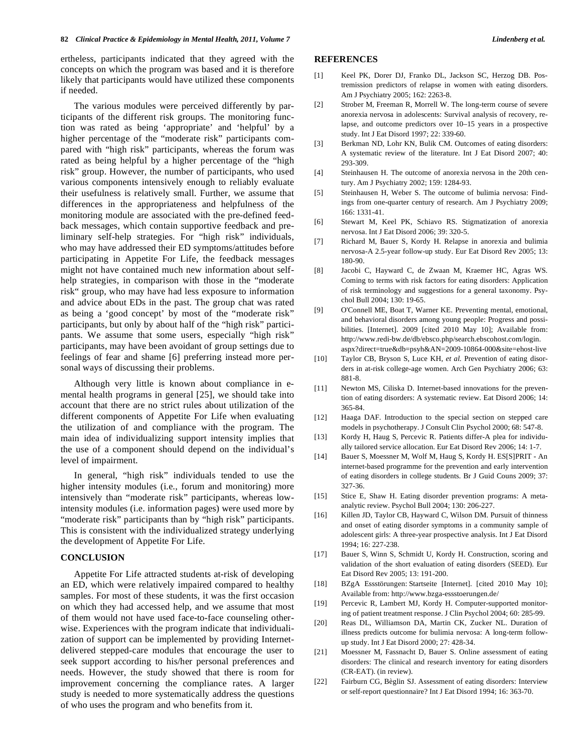ertheless, participants indicated that they agreed with the concepts on which the program was based and it is therefore likely that participants would have utilized these components if needed.

The various modules were perceived differently by participants of the different risk groups. The monitoring function was rated as being 'appropriate' and 'helpful' by a higher percentage of the "moderate risk" participants compared with "high risk" participants, whereas the forum was rated as being helpful by a higher percentage of the "high risk" group. However, the number of participants, who used various components intensively enough to reliably evaluate their usefulness is relatively small. Further, we assume that differences in the appropriateness and helpfulness of the monitoring module are associated with the pre-defined feedback messages, which contain supportive feedback and preliminary self-help strategies. For "high risk" individuals, who may have addressed their ED symptoms/attitudes before participating in Appetite For Life, the feedback messages might not have contained much new information about selfhelp strategies, in comparison with those in the "moderate risk" group, who may have had less exposure to information and advice about EDs in the past. The group chat was rated as being a 'good concept' by most of the "moderate risk" participants, but only by about half of the "high risk" participants. We assume that some users, especially "high risk" participants, may have been avoidant of group settings due to feelings of fear and shame [6] preferring instead more personal ways of discussing their problems.

Although very little is known about compliance in emental health programs in general [25], we should take into account that there are no strict rules about utilization of the different components of Appetite For Life when evaluating the utilization of and compliance with the program. The main idea of individualizing support intensity implies that the use of a component should depend on the individual's level of impairment.

In general, "high risk" individuals tended to use the higher intensity modules (i.e., forum and monitoring) more intensively than "moderate risk" participants, whereas lowintensity modules (i.e. information pages) were used more by "moderate risk" participants than by "high risk" participants. This is consistent with the individualized strategy underlying the development of Appetite For Life.

### **CONCLUSION**

Appetite For Life attracted students at-risk of developing an ED, which were relatively impaired compared to healthy samples. For most of these students, it was the first occasion on which they had accessed help, and we assume that most of them would not have used face-to-face counseling otherwise. Experiences with the program indicate that individualization of support can be implemented by providing Internetdelivered stepped-care modules that encourage the user to seek support according to his/her personal preferences and needs. However, the study showed that there is room for improvement concerning the compliance rates. A larger study is needed to more systematically address the questions of who uses the program and who benefits from it.

# **REFERENCES**

- [1] Keel PK, Dorer DJ, Franko DL, Jackson SC, Herzog DB. Postremission predictors of relapse in women with eating disorders. Am J Psychiatry 2005; 162: 2263-8.
- [2] Strober M, Freeman R, Morrell W. The long-term course of severe anorexia nervosa in adolescents: Survival analysis of recovery, relapse, and outcome predictors over 10–15 years in a prospective study. Int J Eat Disord 1997; 22: 339-60.
- [3] Berkman ND, Lohr KN, Bulik CM. Outcomes of eating disorders: A systematic review of the literature. Int J Eat Disord 2007; 40: 293-309.
- [4] Steinhausen H. The outcome of anorexia nervosa in the 20th century. Am J Psychiatry 2002; 159: 1284-93.
- [5] Steinhausen H, Weber S. The outcome of bulimia nervosa: Findings from one-quarter century of research. Am J Psychiatry 2009; 166: 1331-41.
- [6] Stewart M, Keel PK, Schiavo RS. Stigmatization of anorexia nervosa. Int J Eat Disord 2006; 39: 320-5.
- [7] Richard M, Bauer S, Kordy H. Relapse in anorexia and bulimia nervosa-A 2.5-year follow-up study. Eur Eat Disord Rev 2005; 13: 180-90.
- [8] Jacobi C, Hayward C, de Zwaan M, Kraemer HC, Agras WS. Coming to terms with risk factors for eating disorders: Application of risk terminology and suggestions for a general taxonomy. Psychol Bull 2004; 130: 19-65.
- [9] O'Connell ME, Boat T, Warner KE. Preventing mental, emotional, and behavioral disorders among young people: Progress and possibilities. [Internet]. 2009 [cited 2010 May 10]; Available from: http://www.redi-bw.de/db/ebsco.php/search.ebscohost.com/login. aspx?direct=true&db=psyh&AN=2009-10864-000&site=ehost-live
- [10] Taylor CB, Bryson S, Luce KH, *et al.* Prevention of eating disorders in at-risk college-age women. Arch Gen Psychiatry 2006; 63: 881-8.
- [11] Newton MS, Ciliska D. Internet-based innovations for the prevention of eating disorders: A systematic review. Eat Disord 2006; 14: 365-84.
- [12] Haaga DAF. Introduction to the special section on stepped care models in psychotherapy. J Consult Clin Psychol 2000; 68: 547-8.
- [13] Kordy H, Haug S, Percevic R. Patients differ-A plea for individually tailored service allocation. Eur Eat Disord Rev 2006; 14: 1-7.
- [14] Bauer S, Moessner M, Wolf M, Haug S, Kordy H. ES[S]PRIT An internet-based programme for the prevention and early intervention of eating disorders in college students. Br J Guid Couns 2009; 37: 327-36.
- [15] Stice E, Shaw H. Eating disorder prevention programs: A metaanalytic review. Psychol Bull 2004; 130: 206-227.
- [16] Killen JD, Taylor CB, Hayward C, Wilson DM. Pursuit of thinness and onset of eating disorder symptoms in a community sample of adolescent girls: A three-year prospective analysis. Int J Eat Disord 1994; 16: 227-238.
- [17] Bauer S, Winn S, Schmidt U, Kordy H. Construction, scoring and validation of the short evaluation of eating disorders (SEED). Eur Eat Disord Rev 2005; 13: 191-200.
- [18] BZgA Essstörungen: Startseite [Internet]. [cited 2010 May 10]; Available from: http://www.bzga-essstoerungen.de/
- [19] Percevic R, Lambert MJ, Kordy H. Computer-supported monitoring of patient treatment response. J Clin Psychol 2004; 60: 285-99.
- [20] Reas DL, Williamson DA, Martin CK, Zucker NL. Duration of illness predicts outcome for bulimia nervosa: A long-term followup study. Int J Eat Disord 2000; 27: 428-34.
- [21] Moessner M, Fassnacht D, Bauer S. Online assessment of eating disorders: The clinical and research inventory for eating disorders (CR-EAT). (in review).
- [22] Fairburn CG, Bèglin SJ. Assessment of eating disorders: Interview or self-report questionnaire? Int J Eat Disord 1994; 16: 363-70.